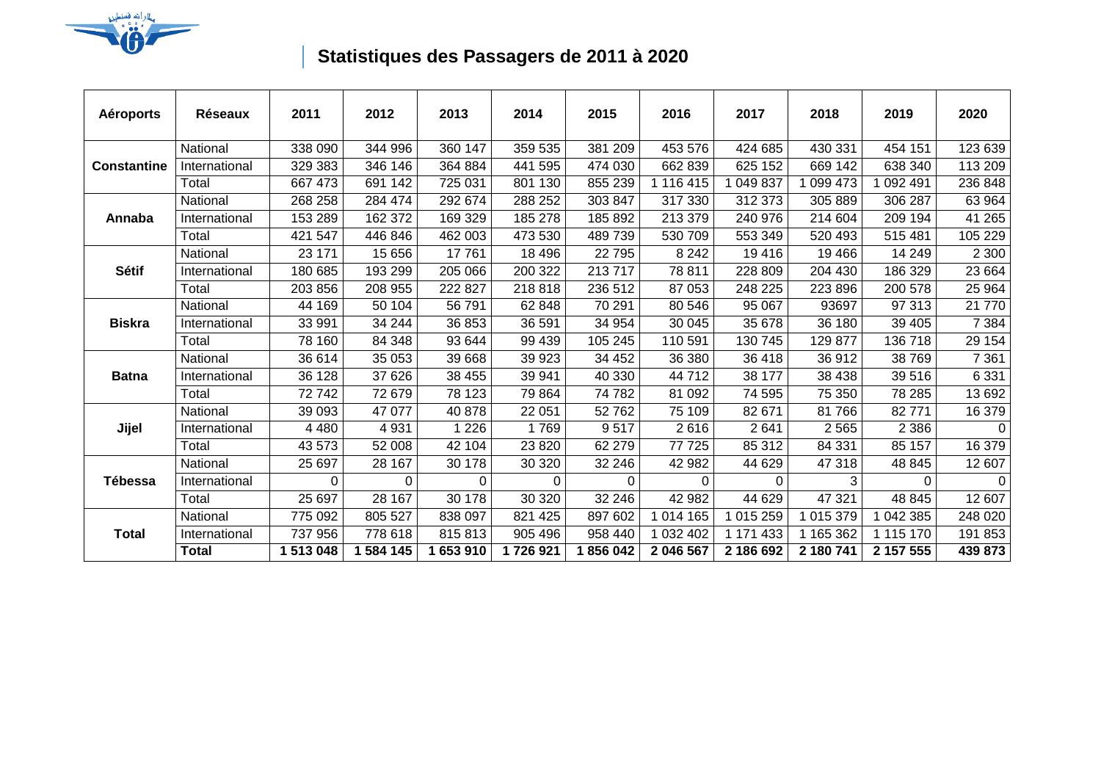

## **Statistiques des Passagers de 2011 à 2020**

| <b>Aéroports</b>   | <b>Réseaux</b> | 2011      | 2012      | 2013     | 2014     | 2015    | 2016      | 2017      | 2018      | 2019      | 2020     |
|--------------------|----------------|-----------|-----------|----------|----------|---------|-----------|-----------|-----------|-----------|----------|
| <b>Constantine</b> | National       | 338 090   | 344 996   | 360 147  | 359 535  | 381 209 | 453 576   | 424 685   | 430 331   | 454 151   | 123 639  |
|                    | International  | 329 383   | 346 146   | 364 884  | 441 595  | 474 030 | 662 839   | 625 152   | 669 142   | 638 340   | 113 209  |
|                    | Total          | 667 473   | 691 142   | 725 031  | 801 130  | 855 239 | 116 415   | 049 837   | 099 473   | 092 491   | 236 848  |
| Annaba             | National       | 268 258   | 284 474   | 292 674  | 288 252  | 303 847 | 317 330   | 312 373   | 305 889   | 306 287   | 63 964   |
|                    | International  | 153 289   | 162 372   | 169 329  | 185 278  | 185 892 | 213 379   | 240 976   | 214 604   | 209 194   | 41 265   |
|                    | Total          | 421 547   | 446 846   | 462 003  | 473 530  | 489 739 | 530 709   | 553 349   | 520 493   | 515 481   | 105 229  |
| <b>Sétif</b>       | National       | 23 171    | 15 656    | 17761    | 18 4 96  | 22795   | 8 2 4 2   | 19416     | 19 4 66   | 14 249    | 2 3 0 0  |
|                    | International  | 180 685   | 193 299   | 205 066  | 200 322  | 213717  | 78 811    | 228 809   | 204 430   | 186 329   | 23 664   |
|                    | Total          | 203 856   | 208 955   | 222 827  | 218 818  | 236 512 | 87 053    | 248 225   | 223 896   | 200 578   | 25 964   |
| <b>Biskra</b>      | National       | 44 169    | 50 104    | 56 791   | 62 848   | 70 291  | 80 546    | 95 067    | 93697     | 97 313    | 21 770   |
|                    | International  | 33 991    | 34 244    | 36 853   | 36 591   | 34 954  | 30 045    | 35 678    | 36 180    | 39 405    | 7 3 8 4  |
|                    | Total          | 78 160    | 84 348    | 93 644   | 99 439   | 105 245 | 110 591   | 130 745   | 129 877   | 136 718   | 29 154   |
| <b>Batna</b>       | National       | 36 614    | 35 053    | 39 668   | 39 923   | 34 452  | 36 380    | 36 418    | 36912     | 38769     | 7 3 6 1  |
|                    | International  | 36 128    | 37 626    | 38 455   | 39 941   | 40 330  | 44712     | 38 177    | 38 438    | 39516     | 6 3 3 1  |
|                    | Total          | 72742     | 72 679    | 78 123   | 79 864   | 74782   | 81 092    | 74 595    | 75 350    | 78 285    | 13 692   |
| Jijel              | National       | 39 093    | 47 077    | 40 878   | 22 051   | 52762   | 75 109    | 82 671    | 81766     | 82771     | 16 379   |
|                    | International  | 4 4 8 0   | 4 9 31    | 1 2 2 6  | 1769     | 9517    | 2616      | 2641      | 2565      | 2 3 8 6   | $\Omega$ |
|                    | Total          | 43 573    | 52 008    | 42 104   | 23 8 20  | 62 279  | 77 725    | 85 312    | 84 331    | 85 157    | 16 379   |
| Tébessa            | National       | 25 697    | 28 167    | 30 178   | 30 320   | 32 246  | 42 982    | 44 629    | 47 318    | 48 845    | 12 607   |
|                    | International  | 0         | 0         | $\Omega$ | $\Omega$ | 0       | 0         | 0         | 3         | 0         | $\Omega$ |
|                    | Total          | 25 697    | 28 167    | 30 178   | 30 320   | 32 246  | 42 982    | 44 629    | 47 321    | 48 845    | 12 607   |
| <b>Total</b>       | National       | 775 092   | 805 527   | 838 097  | 821 425  | 897 602 | 1 014 165 | 1 015 259 | 1 015 379 | 1 042 385 | 248 020  |
|                    | International  | 737 956   | 778 618   | 815813   | 905 496  | 958 440 | 1 032 402 | 1 171 433 | 1 165 362 | 1 115 170 | 191 853  |
|                    | Total          | 1 513 048 | 1 584 145 | 653 910  | 1726921  | 856 042 | 2 046 567 | 2 186 692 | 2 180 741 | 2 157 555 | 439 873  |